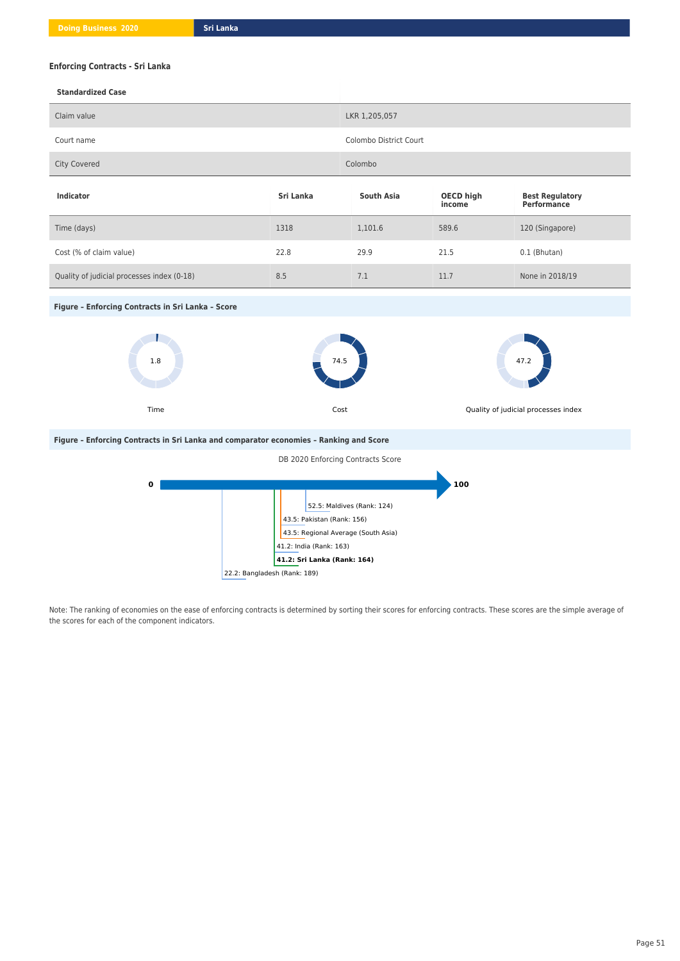## **Enforcing Contracts - Sri Lanka**

| Claim value                                                                            |                                                                                                                                                             | LKR 1,205,057              |                                             |                                              |
|----------------------------------------------------------------------------------------|-------------------------------------------------------------------------------------------------------------------------------------------------------------|----------------------------|---------------------------------------------|----------------------------------------------|
| Court name                                                                             |                                                                                                                                                             | Colombo District Court     |                                             |                                              |
| <b>City Covered</b>                                                                    |                                                                                                                                                             | Colombo                    |                                             |                                              |
| Indicator                                                                              | Sri Lanka                                                                                                                                                   | <b>South Asia</b>          | <b>OECD high</b><br>income                  | <b>Best Regulatory</b><br><b>Performance</b> |
| Time (days)                                                                            | 1318                                                                                                                                                        | 1,101.6                    | 589.6                                       | 120 (Singapore)                              |
| Cost (% of claim value)                                                                | 22.8                                                                                                                                                        | 29.9                       | 21.5                                        | 0.1 (Bhutan)                                 |
| Quality of judicial processes index (0-18)                                             | 8.5                                                                                                                                                         | 7.1                        | 11.7                                        | None in 2018/19                              |
| Figure - Enforcing Contracts in Sri Lanka - Score                                      |                                                                                                                                                             |                            |                                             |                                              |
| 1.8<br>Time                                                                            | 74.5<br>Cost                                                                                                                                                |                            | 47.2<br>Quality of judicial processes index |                                              |
| Figure - Enforcing Contracts in Sri Lanka and comparator economies - Ranking and Score |                                                                                                                                                             |                            |                                             |                                              |
| DB 2020 Enforcing Contracts Score                                                      |                                                                                                                                                             |                            |                                             |                                              |
| 0                                                                                      | 43.5: Pakistan (Rank: 156)<br>43.5: Regional Average (South Asia)<br>41.2: India (Rank: 163)<br>41.2: Sri Lanka (Rank: 164)<br>22.2: Bangladesh (Rank: 189) | 52.5: Maldives (Rank: 124) | 100                                         |                                              |

Note: The ranking of economies on the ease of enforcing contracts is determined by sorting their scores for enforcing contracts. These scores are the simple average of the scores for each of the component indicators.

**Standardized Case**